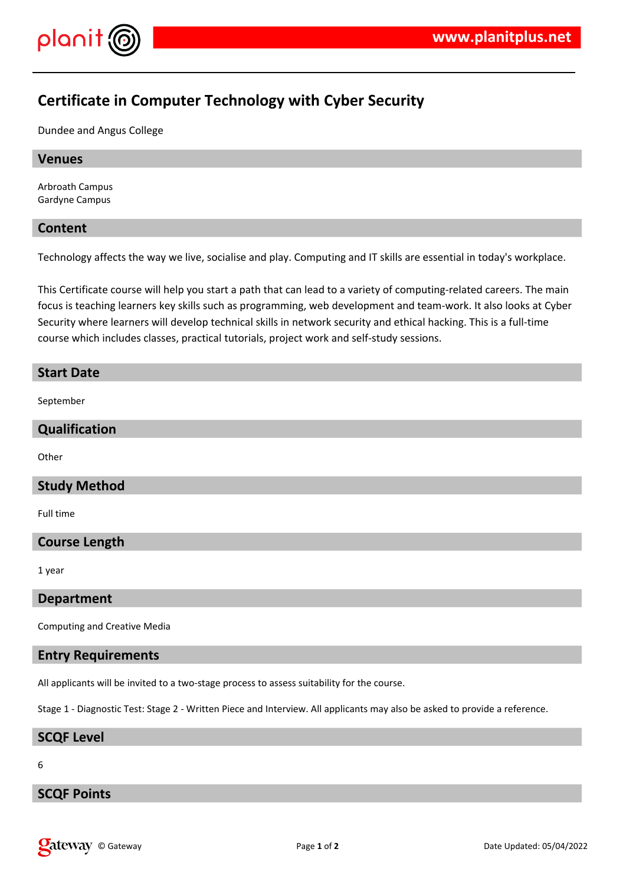

# **Certificate in Computer Technology with Cyber Security**

Dundee and Angus College

#### **Venues**

Arbroath Campus Gardyne Campus

#### **Content**

Technology affects the way we live, socialise and play. Computing and IT skills are essential in today's workplace.

This Certificate course will help you start a path that can lead to a variety of computing-related careers. The main focus is teaching learners key skills such as programming, web development and team-work. It also looks at Cyber Security where learners will develop technical skills in network security and ethical hacking. This is a full-time course which includes classes, practical tutorials, project work and self-study sessions.

# **Start Date**

September

### **Qualification**

**Other** 

### **Study Method**

Full time

### **Course Length**

1 year

#### **Department**

Computing and Creative Media

### **Entry Requirements**

All applicants will be invited to a two-stage process to assess suitability for the course.

Stage 1 - Diagnostic Test: Stage 2 - Written Piece and Interview. All applicants may also be asked to provide a reference.

#### **SCQF Level**

6

### **SCQF Points**